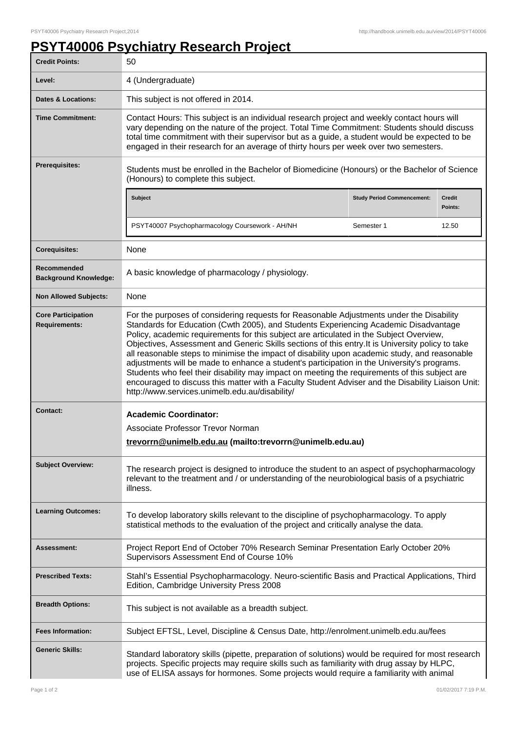## **PSYT40006 Psychiatry Research Project**

| <b>Credit Points:</b>                             | 50                                                                                                                                                                                                                                                                                                                                                                                                                                                                                                                                                                                                                                                                                                                                                                                                                                       |                                   |                   |
|---------------------------------------------------|------------------------------------------------------------------------------------------------------------------------------------------------------------------------------------------------------------------------------------------------------------------------------------------------------------------------------------------------------------------------------------------------------------------------------------------------------------------------------------------------------------------------------------------------------------------------------------------------------------------------------------------------------------------------------------------------------------------------------------------------------------------------------------------------------------------------------------------|-----------------------------------|-------------------|
| Level:                                            | 4 (Undergraduate)                                                                                                                                                                                                                                                                                                                                                                                                                                                                                                                                                                                                                                                                                                                                                                                                                        |                                   |                   |
| <b>Dates &amp; Locations:</b>                     | This subject is not offered in 2014.                                                                                                                                                                                                                                                                                                                                                                                                                                                                                                                                                                                                                                                                                                                                                                                                     |                                   |                   |
| <b>Time Commitment:</b>                           | Contact Hours: This subject is an individual research project and weekly contact hours will<br>vary depending on the nature of the project. Total Time Commitment: Students should discuss<br>total time commitment with their supervisor but as a guide, a student would be expected to be<br>engaged in their research for an average of thirty hours per week over two semesters.                                                                                                                                                                                                                                                                                                                                                                                                                                                     |                                   |                   |
| <b>Prerequisites:</b>                             | Students must be enrolled in the Bachelor of Biomedicine (Honours) or the Bachelor of Science<br>(Honours) to complete this subject.                                                                                                                                                                                                                                                                                                                                                                                                                                                                                                                                                                                                                                                                                                     |                                   |                   |
|                                                   | <b>Subject</b>                                                                                                                                                                                                                                                                                                                                                                                                                                                                                                                                                                                                                                                                                                                                                                                                                           | <b>Study Period Commencement:</b> | Credit<br>Points: |
|                                                   | PSYT40007 Psychopharmacology Coursework - AH/NH                                                                                                                                                                                                                                                                                                                                                                                                                                                                                                                                                                                                                                                                                                                                                                                          | Semester 1                        | 12.50             |
| <b>Corequisites:</b>                              | None                                                                                                                                                                                                                                                                                                                                                                                                                                                                                                                                                                                                                                                                                                                                                                                                                                     |                                   |                   |
| Recommended<br><b>Background Knowledge:</b>       | A basic knowledge of pharmacology / physiology.                                                                                                                                                                                                                                                                                                                                                                                                                                                                                                                                                                                                                                                                                                                                                                                          |                                   |                   |
| <b>Non Allowed Subjects:</b>                      | None                                                                                                                                                                                                                                                                                                                                                                                                                                                                                                                                                                                                                                                                                                                                                                                                                                     |                                   |                   |
| <b>Core Participation</b><br><b>Requirements:</b> | For the purposes of considering requests for Reasonable Adjustments under the Disability<br>Standards for Education (Cwth 2005), and Students Experiencing Academic Disadvantage<br>Policy, academic requirements for this subject are articulated in the Subject Overview,<br>Objectives, Assessment and Generic Skills sections of this entry. It is University policy to take<br>all reasonable steps to minimise the impact of disability upon academic study, and reasonable<br>adjustments will be made to enhance a student's participation in the University's programs.<br>Students who feel their disability may impact on meeting the requirements of this subject are<br>encouraged to discuss this matter with a Faculty Student Adviser and the Disability Liaison Unit:<br>http://www.services.unimelb.edu.au/disability/ |                                   |                   |
| <b>Contact:</b>                                   | <b>Academic Coordinator:</b><br>Associate Professor Trevor Norman<br>trevorrn@unimelb.edu.au (mailto:trevorrn@unimelb.edu.au)                                                                                                                                                                                                                                                                                                                                                                                                                                                                                                                                                                                                                                                                                                            |                                   |                   |
| <b>Subject Overview:</b>                          | The research project is designed to introduce the student to an aspect of psychopharmacology<br>relevant to the treatment and / or understanding of the neurobiological basis of a psychiatric<br>illness.                                                                                                                                                                                                                                                                                                                                                                                                                                                                                                                                                                                                                               |                                   |                   |
| <b>Learning Outcomes:</b>                         | To develop laboratory skills relevant to the discipline of psychopharmacology. To apply<br>statistical methods to the evaluation of the project and critically analyse the data.                                                                                                                                                                                                                                                                                                                                                                                                                                                                                                                                                                                                                                                         |                                   |                   |
| Assessment:                                       | Project Report End of October 70% Research Seminar Presentation Early October 20%<br>Supervisors Assessment End of Course 10%                                                                                                                                                                                                                                                                                                                                                                                                                                                                                                                                                                                                                                                                                                            |                                   |                   |
| <b>Prescribed Texts:</b>                          | Stahl's Essential Psychopharmacology. Neuro-scientific Basis and Practical Applications, Third<br>Edition, Cambridge University Press 2008                                                                                                                                                                                                                                                                                                                                                                                                                                                                                                                                                                                                                                                                                               |                                   |                   |
| <b>Breadth Options:</b>                           | This subject is not available as a breadth subject.                                                                                                                                                                                                                                                                                                                                                                                                                                                                                                                                                                                                                                                                                                                                                                                      |                                   |                   |
| <b>Fees Information:</b>                          | Subject EFTSL, Level, Discipline & Census Date, http://enrolment.unimelb.edu.au/fees                                                                                                                                                                                                                                                                                                                                                                                                                                                                                                                                                                                                                                                                                                                                                     |                                   |                   |
| <b>Generic Skills:</b>                            | Standard laboratory skills (pipette, preparation of solutions) would be required for most research<br>projects. Specific projects may require skills such as familiarity with drug assay by HLPC,<br>use of ELISA assays for hormones. Some projects would require a familiarity with animal                                                                                                                                                                                                                                                                                                                                                                                                                                                                                                                                             |                                   |                   |